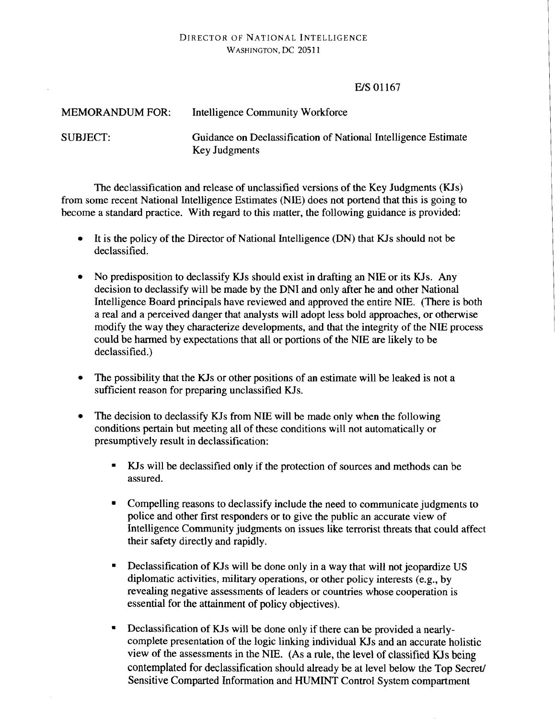## DIRECTOR OF NATIONAL INTELLIGENCE WASHINGTON, DC 20511

## E/S 01167

| <b>MEMORANDUM FOR:</b> | Intelligence Community Workforce                                                       |
|------------------------|----------------------------------------------------------------------------------------|
| SUBJECT:               | Guidance on Declassification of National Intelligence Estimate<br><b>Key Judgments</b> |

The declassification and release of unclassified versions of the Key Judgments  $(KIs)$ from some recent National Intelligence Estimates (NIE) does not portend that this is going to become a standard practice. With regard to this matter, the following guidance is provided:

- It is the policy of the Director of National Intelligence (DN) that KJs should not be  $\bullet$ declassified.
- No predisposition to declassify KJs should exist in drafting an NIE or its KJs. Any decision to declassify will be made by the DNI and only after he and other National Intelligence Board principals have reviewed and approved the entire NIE. (There is both a real and a perceived danger that analysts will adopt less bold approaches, or otherwise modify the way they characterize developments, and that the integrity of the NIE process could be harmed by expectations that all or portions of the NIE are likely to be declassified.)
- The possibility that the KJs or other positions of an estimate will be leaked is not a  $\bullet$ sufficient reason for preparing unclassified KJs.
- The decision to declassify KJs from NIE will be made only when the following  $\bullet$ conditions pertain but meeting all of these conditions will not automatically or presumptively result in declassification:
	- KJs will be declassified only if the protection of sources and methods can be assured.
	- Compelling reasons to declassify include the need to communicate judgments to police and other first responders or to give the public an accurate view of Intelligence Community judgments on issues like terrorist threats that could affect their safety directly and rapidly.
	- Declassification of KJs will be done only in a way that will not jeopardize US  $\blacksquare$ diplomatic activities, military operations, or other policy interests (e.g., by revealing negative assessments of leaders or countries whose cooperation is essential for the attainment of policy objectives).
	- Declassification of KJs will be done only if there can be provided a nearlycomplete presentation of the logic linking individual KJs and an accurate holistic view of the assessments in the NIE. (As a rule, the level of classified KJs being contemplated for declassification should already be at level below the Top Secret/ Sensitive Comparted Information and HUMINT Control System compartment